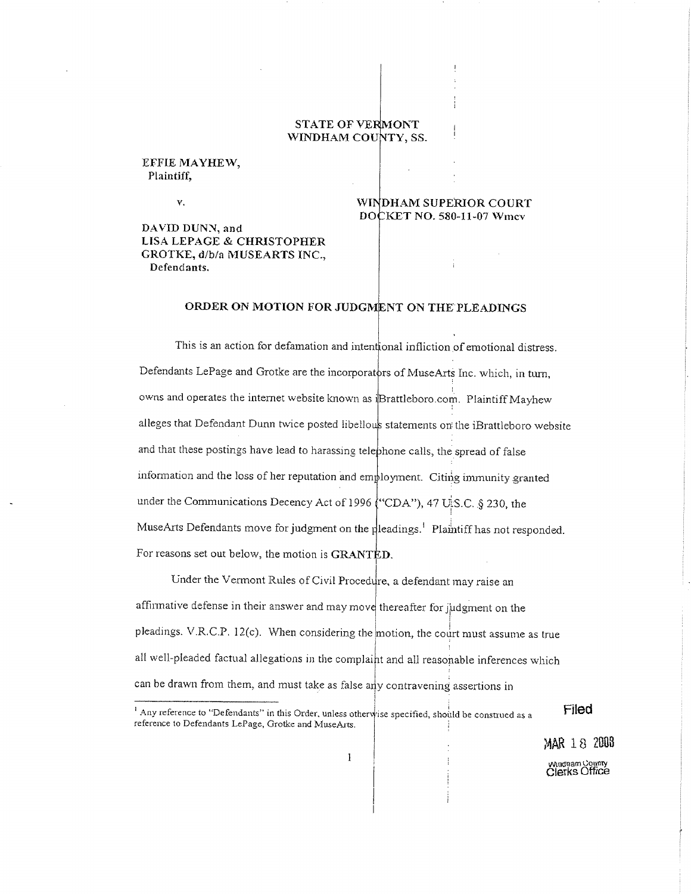## **STATE OF VERMONT** WINDHAM COUNTY, SS.

#### EFFIE MAYHEW, Plaintiff.

Υ.

DAVID DUNN, and LISA LEPAGE & CHRISTOPHER GROTKE, d/b/a MUSEARTS INC., Defendants.

#### WINDHAM SUPERIOR COURT DOCKET NO. 580-11-07 Wmcv

### ORDER ON MOTION FOR JUDGMENT ON THE PLEADINGS

This is an action for defamation and intentional infliction of emotional distress. Defendants LePage and Grotke are the incorporators of MuseArts Inc. which, in turn, owns and operates the internet website known as iBrattleboro.com. Plaintiff Mayhew alleges that Defendant Dunn twice posted libellous statements on the iBrattleboro website and that these postings have lead to harassing telephone calls, the spread of false information and the loss of her reputation and employment. Citing immunity granted under the Communications Decency Act of 1996 ("CDA"), 47 U.S.C. § 230, the MuseArts Defendants move for judgment on the pleadings.<sup>1</sup> Plaintiff has not responded. For reasons set out below, the motion is GRANTED.

Under the Vermont Rules of Civil Procedure, a defendant may raise an affirmative defense in their answer and may move thereafter for judgment on the pleadings. V.R.C.P. 12(c). When considering the motion, the court must assume as true all well-pleaded factual allegations in the complaint and all reasonable inferences which can be drawn from them, and must take as false any contravening assertions in

<sup>1</sup> Any reference to "Defendants" in this Order, unless otherwise specified, should be construed as a reference to Defendants LePage, Grotke and MuseArts.

Filed

MAR 18 2008 Windnam County<br>Clerks Office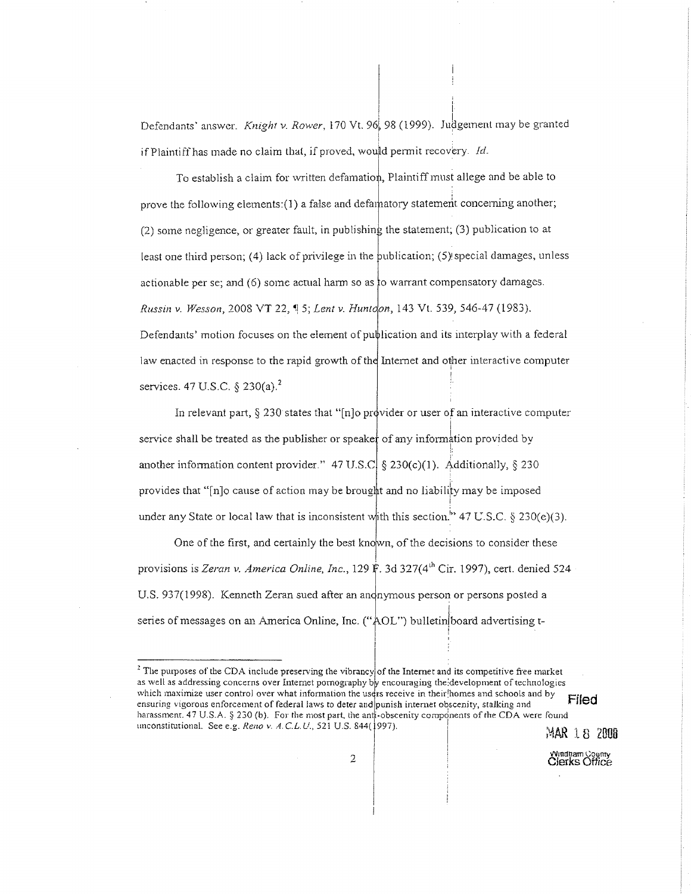Defendants' answer. Knight v. Rower, 170 Vt. 96, 98 (1999). Judgement may be granted if Plaintiff has made no claim that, if proved, would permit recovery. Id.

To establish a claim for written defamation, Plaintiff must allege and be able to prove the following elements:(1) a false and defamatory statement concerning another; (2) some negligence, or greater fault, in publishing the statement; (3) publication to at least one third person; (4) lack of privilege in the publication;  $(5)$  special damages, unless actionable per se; and (6) some actual harm so as to warrant compensatory damages. Russin v. Wesson, 2008 VT 22, 15; Lent v. Huntoon, 143 Vt. 539, 546-47 (1983). Defendants' motion focuses on the element of publication and its interplay with a federal law enacted in response to the rapid growth of the Internet and other interactive computer services. 47 U.S.C. § 230(a).<sup>2</sup>

In relevant part,  $\S 230$  states that "[n]o provider or user of an interactive computer service shall be treated as the publisher or speaker of any information provided by another information content provider." 47 U.S.C. § 230(c)(1). Additionally, § 230 provides that "[n]o cause of action may be brought and no liability may be imposed under any State or local law that is inconsistent with this section." 47 U.S.C. § 230(e)(3).

One of the first, and certainly the best known, of the decisions to consider these provisions is Zeran v. America Online, Inc., 129 F. 3d 327(4<sup>th</sup> Cir. 1997), cert. denied 524 U.S. 937(1998). Kenneth Zeran sued after an andnymous person or persons posted a series of messages on an America Online, Inc. ("AOL") bulletin board advertising t-

MAR 18 2008

Windnam County<br>Clerks Office

<sup>&</sup>lt;sup>2</sup> The purposes of the CDA include preserving the vibrancy of the Internet and its competitive free market as well as addressing concerns over Internet pornography by encouraging the development of technologies which maximize user control over what information the users receive in their homes and schools and by Filed ensuring vigorous enforcement of federal laws to deter and punish internet obscenity, stalking and harassment. 47 U.S.A. § 230 (b). For the most part, the anti-obscenity components of the CDA were found unconstitutional. See e.g. Reno v. A.C.L.U., 521 U.S. 844(1997).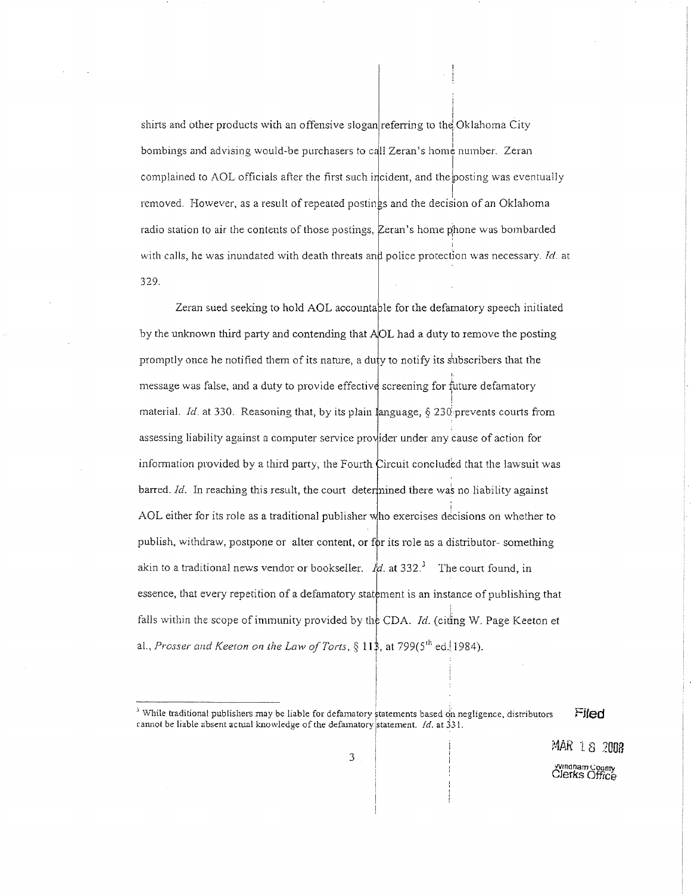shirts and other products with an offensive slogan referring to the Oklahoma City bombings and advising would-be purchasers to call Zeran's home number. Zeran complained to AOL officials after the first such incident, and the posting was eventually removed. However, as a result of repeated postings and the decision of an Oklahoma radio station to air the contents of those postings, Zeran's home phone was bombarded with calls, he was inundated with death threats and police protection was necessary. Id. at 329.

Zeran sued seeking to hold AOL accountable for the defamatory speech initiated by the unknown third party and contending that AOL had a duty to remove the posting promptly once he notified them of its nature, a duty to notify its subscribers that the message was false, and a duty to provide effective screening for future defamatory material. Id. at 330. Reasoning that, by its plain language,  $\S 230$  prevents courts from assessing liability against a computer service provider under any cause of action for information provided by a third party, the Fourth Circuit concluded that the lawsuit was barred. Id. In reaching this result, the court determined there was no liability against AOL either for its role as a traditional publisher who exercises decisions on whether to publish, withdraw, postpone or alter content, or for its role as a distributor-something akin to a traditional news vendor or bookseller.  $\mathring{M}$  at 332.<sup>3</sup> The court found, in essence, that every repetition of a defamatory statement is an instance of publishing that falls within the scope of immunity provided by the CDA. *Id.* (citing W. Page Keeton et al., Prosser and Keeton on the Law of Torts,  $\S 11\$ , at 799(5<sup>th</sup> ed. 1984).

MAR 18 2008

*Ningham County*<br>Clerks Office

<sup>&</sup>lt;sup>3</sup> While traditional publishers may be liable for defamatory statements based on negligence, distributors Filed cannot be liable absent actual knowledge of the defamatory statement.  $Id$ . at 331.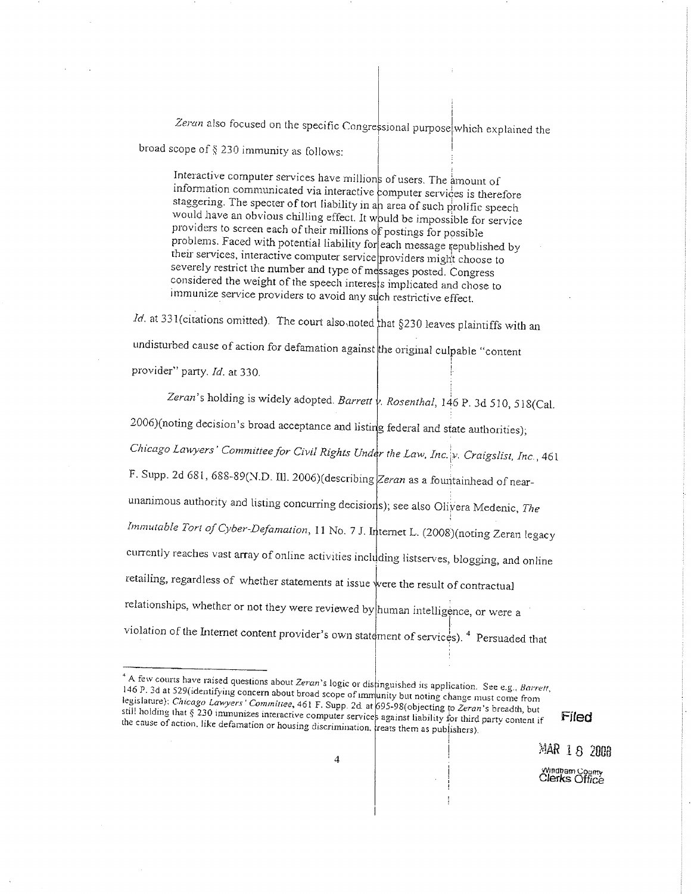Zeran also focused on the specific Congressional purpose which explained the broad scope of  $\S$  230 immunity as follows:

Interactive computer services have millions of users. The amount of information communicated via interactive computer services is therefore staggering. The specter of tort liability in an area of such prolific speech would have an obvious chilling effect. It would be impossible for service providers to screen each of their millions of postings for possible problems. Faced with potential liability for each message republished by their services, interactive computer service providers might choose to severely restrict the number and type of messages posted. Congress considered the weight of the speech interests implicated and chose to immunize service providers to avoid any such restrictive effect.

*Id.* at 331(citations omitted). The court also noted that  $§230$  leaves plaintiffs with an undisturbed cause of action for defamation against the original culpable "content provider" party. Id. at 330.

Zeran's holding is widely adopted. Barrett  $\psi$ . Rosenthal, 146 P. 3d 510, 518(Cal. 2006)(noting decision's broad acceptance and listing federal and state authorities); Chicago Lawyers' Committee for Civil Rights Under the Law, Inc. v. Craigslist, Inc., 461 F. Supp. 2d 681, 688-89(N.D. III. 2006)(describing Zeran as a fountainhead of nearunanimous authority and listing concurring decisions); see also Olivera Medenic, The Immutable Tort of Cyber-Defamation, 11 No. 7 J. Internet L. (2008)(noting Zeran legacy currently reaches vast array of online activities including listserves, blogging, and online retailing, regardless of whether statements at issue were the result of contractual relationships, whether or not they were reviewed by human intelligence, or were a violation of the Internet content provider's own statement of services).<sup>4</sup> Persuaded that

<sup>4</sup> A few courts have raised questions about Zeran's logic or distinguished its application. See e.g., Barrett, 146 P. 3d at 529(identifying concern about broad scope of immunity but noting change must come from legislature): Chicago Lawyers' Committee, 461 F. Supp. 2d at 695-98(objecting to Zeran's breadth, but still holding that § 230 immunizes interactive computer services against liability for third party content if the cause of action, like defamation or housing discrimination, treats them as publishers).

MAR 18 2008

Filed

Windham County<br>Clerks Office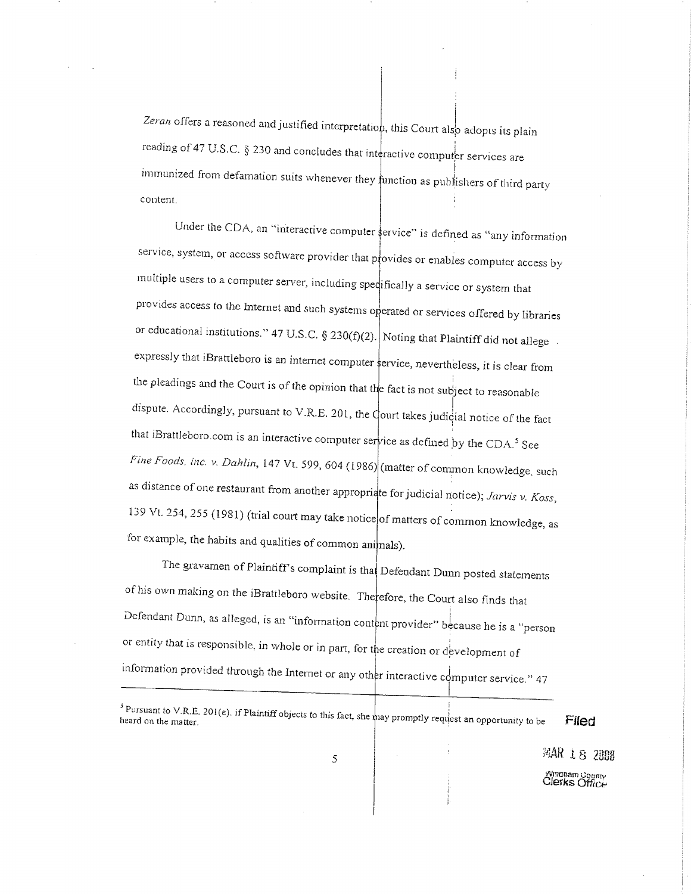Zeran offers a reasoned and justified interpretation, this Court also adopts its plain reading of 47 U.S.C. § 230 and concludes that interactive computer services are immunized from defamation suits whenever they function as publishers of third party content.

Under the CDA, an "interactive computer service" is defined as "any information service, system, or access software provider that provides or enables computer access by multiple users to a computer server, including specifically a service or system that provides access to the Internet and such systems operated or services offered by libraries or educational institutions." 47 U.S.C. § 230(f)(2). Noting that Plaintiff did not allege. expressly that iBrattleboro is an internet computer service, nevertheless, it is clear from the pleadings and the Court is of the opinion that the fact is not subject to reasonable dispute. Accordingly, pursuant to V.R.E. 201, the Court takes judicial notice of the fact that iBrattleboro.com is an interactive computer service as defined by the CDA.<sup>5</sup> See Fine Foods, inc. v. Dahlin, 147 Vt. 599, 604 (1986) (matter of common knowledge, such as distance of one restaurant from another appropriate for judicial notice); Jarvis v. Koss, 139 Vt. 254, 255 (1981) (trial court may take notice of matters of common knowledge, as for example, the habits and qualities of common animals).

The gravamen of Plaintiff's complaint is that Defendant Dunn posted statements of his own making on the iBrattleboro website. Therefore, the Court also finds that Defendant Dunn, as alleged, is an "information content provider" because he is a "person or entity that is responsible, in whole or in part, for the creation or development of information provided through the Internet or any other interactive computer service." 47

<sup>5</sup> Pursuant to V.R.E. 201(e). if Plaintiff objects to this fact, she may promptly request an opportunity to be Filed

 $\mathbb{R}AR$  18  $2\mathbb{R}B$ 

Windham County<br>Clerks Office

5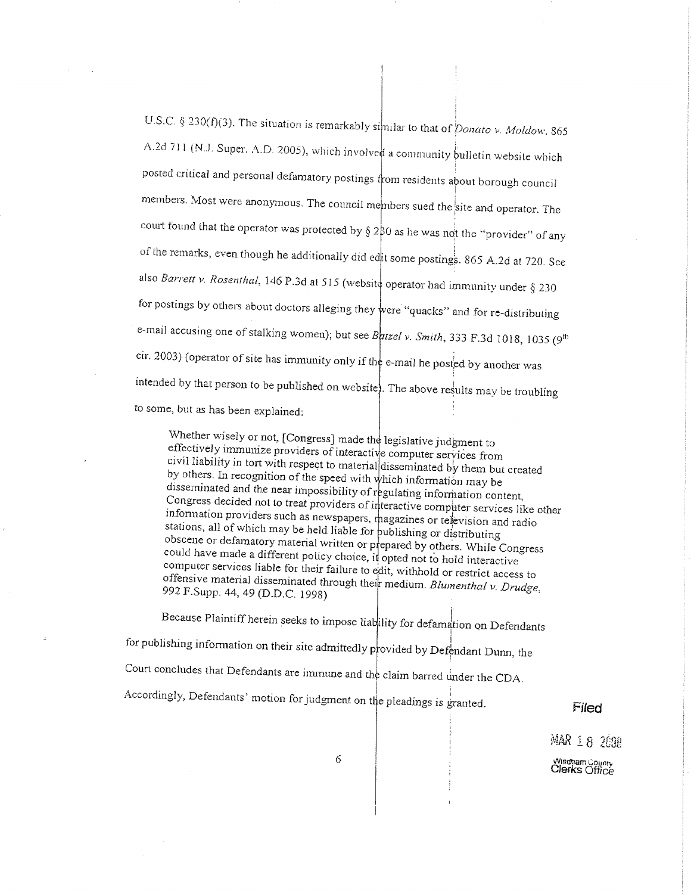U.S.C. § 230(f)(3). The situation is remarkably similar to that of *Donato v. Moldow*, 865 A.2d 711 (N.J. Super. A.D. 2005), which involved a community bulletin website which posted critical and personal defamatory postings from residents about borough council members. Most were anonymous. The council members sued the site and operator. The court found that the operator was protected by  $\S 2\frac{1}{2}0$  as he was not the "provider" of any of the remarks, even though he additionally did edit some postings. 865 A.2d at 720. See also Barreit v. Rosenthal, 146 P.3d at 515 (website operator had immunity under § 230 for postings by others about doctors alleging they were "quacks" and for re-distributing e-mail accusing one of stalking women); but see Batzel v. Smith, 333 F.3d 1018, 1035 (9<sup>th</sup> cir. 2003) (operator of site has immunity only if the e-mail he posted by another was intended by that person to be published on website). The above results may be troubling to some, but as has been explained:

Whether wisely or not, [Congress] made the legislative judgment to effectively immunize providers of interactive computer services from civil liability in tort with respect to material disseminated by them but created by others. In recognition of the speed with which information may be disseminated and the near impossibility of regulating information content, Congress decided not to treat providers of interactive computer services like other information providers such as newspapers, magazines or television and radio stations, all of which may be held liable for publishing or distributing obscene or defamatory material written or prepared by others. While Congress could have made a different policy choice, it opted not to hold interactive computer services liable for their failure to edit, withhold or restrict access to offensive material disseminated through their medium. Blumenthal v. Drudge, 992 F.Supp. 44, 49 (D.D.C. 1998)

Because Plaintiff herein seeks to impose liability for defamation on Defendants for publishing information on their site admittedly provided by Defendant Dunn, the Court concludes that Defendants are immune and the claim barred under the CDA. Accordingly, Defendants' motion for judgment on the pleadings is granted.

### Filed

MAR 18 2008 Windham County<br>Clerks Office

6